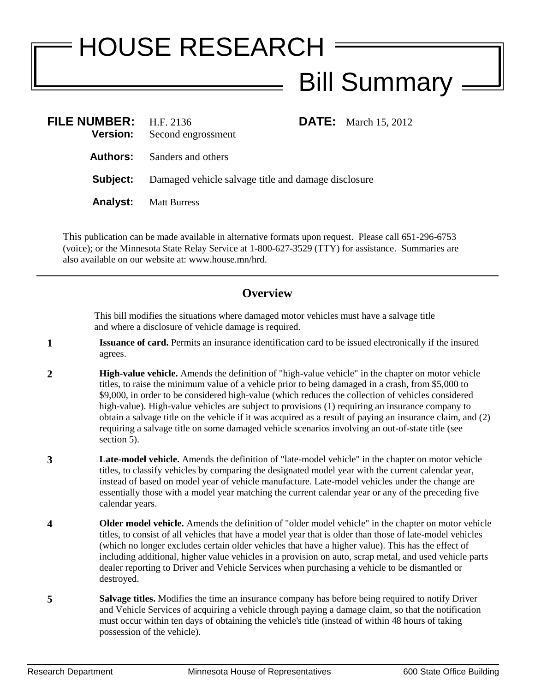## HOUSE RESEARCH Bill Summary =

| FILE NUMBER: H.F. 2136<br><b>Version:</b> | Second engrossment                                  |  | <b>DATE:</b> March 15, 2012 |
|-------------------------------------------|-----------------------------------------------------|--|-----------------------------|
| Authors:                                  | Sanders and others                                  |  |                             |
| Subject:                                  | Damaged vehicle salvage title and damage disclosure |  |                             |
| <b>Analyst:</b>                           | <b>Matt Burress</b>                                 |  |                             |

This publication can be made available in alternative formats upon request. Please call 651-296-6753 (voice); or the Minnesota State Relay Service at 1-800-627-3529 (TTY) for assistance. Summaries are also available on our website at: www.house.mn/hrd.

## **Overview**

This bill modifies the situations where damaged motor vehicles must have a salvage title and where a disclosure of vehicle damage is required.

- **1 Issuance of card.** Permits an insurance identification card to be issued electronically if the insured agrees.
- **2 High-value vehicle.** Amends the definition of "high-value vehicle" in the chapter on motor vehicle titles, to raise the minimum value of a vehicle prior to being damaged in a crash, from \$5,000 to \$9,000, in order to be considered high-value (which reduces the collection of vehicles considered high-value). High-value vehicles are subject to provisions (1) requiring an insurance company to obtain a salvage title on the vehicle if it was acquired as a result of paying an insurance claim, and (2) requiring a salvage title on some damaged vehicle scenarios involving an out-of-state title (see section 5).
- **3 Late-model vehicle.** Amends the definition of "late-model vehicle" in the chapter on motor vehicle titles, to classify vehicles by comparing the designated model year with the current calendar year, instead of based on model year of vehicle manufacture. Late-model vehicles under the change are essentially those with a model year matching the current calendar year or any of the preceding five calendar years.
- **4 Older model vehicle.** Amends the definition of "older model vehicle" in the chapter on motor vehicle titles, to consist of all vehicles that have a model year that is older than those of late-model vehicles (which no longer excludes certain older vehicles that have a higher value). This has the effect of including additional, higher value vehicles in a provision on auto, scrap metal, and used vehicle parts dealer reporting to Driver and Vehicle Services when purchasing a vehicle to be dismantled or destroyed.
- **5 Salvage titles.** Modifies the time an insurance company has before being required to notify Driver and Vehicle Services of acquiring a vehicle through paying a damage claim, so that the notification must occur within ten days of obtaining the vehicle's title (instead of within 48 hours of taking possession of the vehicle).